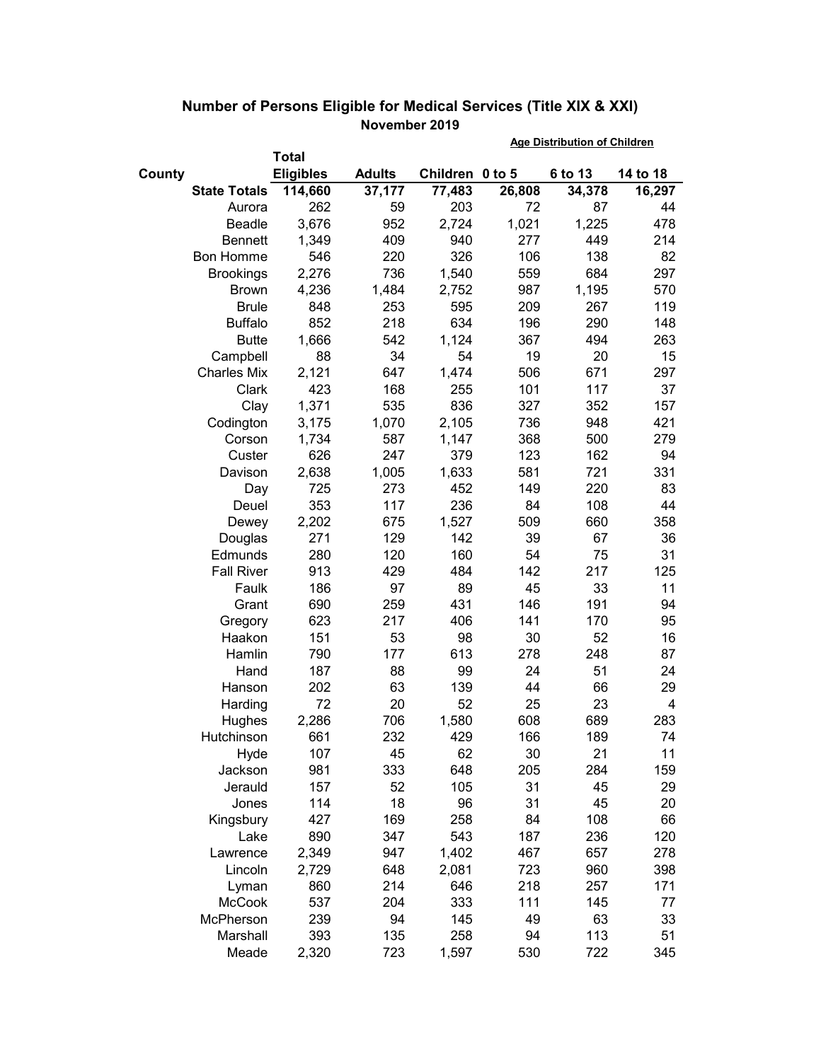|        |                     |                  |               |                 | <b>Age Distribution of Children</b> |         |          |  |
|--------|---------------------|------------------|---------------|-----------------|-------------------------------------|---------|----------|--|
|        |                     | <b>Total</b>     |               |                 |                                     |         |          |  |
| County |                     | <b>Eligibles</b> | <b>Adults</b> | Children 0 to 5 |                                     | 6 to 13 | 14 to 18 |  |
|        | <b>State Totals</b> | 114,660          | 37,177        | 77,483          | 26,808                              | 34,378  | 16,297   |  |
|        | Aurora              | 262              | 59            | 203             | 72                                  | 87      | 44       |  |
|        | <b>Beadle</b>       | 3,676            | 952           | 2,724           | 1,021                               | 1,225   | 478      |  |
|        | <b>Bennett</b>      | 1,349            | 409           | 940             | 277                                 | 449     | 214      |  |
|        | <b>Bon Homme</b>    | 546              | 220           | 326             | 106                                 | 138     | 82       |  |
|        | <b>Brookings</b>    | 2,276            | 736           | 1,540           | 559                                 | 684     | 297      |  |
|        | <b>Brown</b>        | 4,236            | 1,484         | 2,752           | 987                                 | 1,195   | 570      |  |
|        | <b>Brule</b>        | 848              | 253           | 595             | 209                                 | 267     | 119      |  |
|        | <b>Buffalo</b>      | 852              | 218           | 634             | 196                                 | 290     | 148      |  |
|        | <b>Butte</b>        | 1,666            | 542           | 1,124           | 367                                 | 494     | 263      |  |
|        | Campbell            | 88               | 34            | 54              | 19                                  | 20      | 15       |  |
|        | <b>Charles Mix</b>  | 2,121            | 647           | 1,474           | 506                                 | 671     | 297      |  |
|        | Clark               | 423              | 168           | 255             | 101                                 | 117     | 37       |  |
|        | Clay                | 1,371            | 535           | 836             | 327                                 | 352     | 157      |  |
|        | Codington           | 3,175            | 1,070         | 2,105           | 736                                 | 948     | 421      |  |
|        | Corson              | 1,734            | 587           | 1,147           | 368                                 | 500     | 279      |  |
|        | Custer              | 626              | 247           | 379             | 123                                 | 162     | 94       |  |
|        | Davison             | 2,638            | 1,005         | 1,633           | 581                                 | 721     | 331      |  |
|        | Day                 | 725              | 273           | 452             | 149                                 | 220     | 83       |  |
|        | Deuel               | 353              | 117           | 236             | 84                                  | 108     | 44       |  |
|        | Dewey               | 2,202            | 675           | 1,527           | 509                                 | 660     | 358      |  |
|        | Douglas             | 271              | 129           | 142             | 39                                  | 67      | 36       |  |
|        | Edmunds             | 280              | 120           | 160             | 54                                  | 75      | 31       |  |
|        | <b>Fall River</b>   | 913              | 429           | 484             | 142                                 | 217     | 125      |  |
|        | Faulk               | 186              | 97            | 89              | 45                                  | 33      | 11       |  |
|        | Grant               | 690              | 259           | 431             | 146                                 | 191     | 94       |  |
|        | Gregory             | 623              | 217           | 406             | 141                                 | 170     | 95       |  |
|        | Haakon              | 151              | 53            | 98              | 30                                  | 52      | 16       |  |
|        | Hamlin              | 790              | 177           | 613             | 278                                 | 248     | 87       |  |
|        | Hand                | 187              | 88            | 99              | 24                                  | 51      | 24       |  |
|        | Hanson              | 202              | 63            | 139             | 44                                  | 66      | 29       |  |
|        | Harding             | 72               | 20            | 52              | 25                                  | 23      | 4        |  |
|        | Hughes              | 2,286            | 706           | 1,580           | 608                                 | 689     | 283      |  |
|        | Hutchinson          | 661              | 232           | 429             | 166                                 | 189     | 74       |  |
|        | Hyde                | 107              | 45            | 62              | 30                                  | 21      | 11       |  |
|        | Jackson             | 981              | 333           | 648             | 205                                 | 284     | 159      |  |
|        | Jerauld             | 157              | 52            | 105             | 31                                  | 45      | 29       |  |
|        | Jones               | 114              | 18            | 96              | 31                                  | 45      | 20       |  |
|        | Kingsbury           | 427              | 169           | 258             | 84                                  | 108     | 66       |  |
|        | Lake                | 890              | 347           | 543             | 187                                 | 236     | 120      |  |
|        | Lawrence            | 2,349            | 947           | 1,402           | 467                                 | 657     | 278      |  |
|        | Lincoln             | 2,729            | 648           | 2,081           | 723                                 | 960     | 398      |  |
|        | Lyman               | 860              | 214           | 646             | 218                                 | 257     | 171      |  |
|        | McCook              | 537              | 204           | 333             | 111                                 | 145     | 77       |  |
|        | McPherson           | 239              | 94            | 145             | 49                                  | 63      | 33       |  |
|        | Marshall            | 393              | 135           | 258             | 94                                  | 113     | 51       |  |
|        | Meade               | 2,320            | 723           | 1,597           | 530                                 | 722     | 345      |  |

## **Number of Persons Eligible for Medical Services (Title XIX & XXI) November 2019**